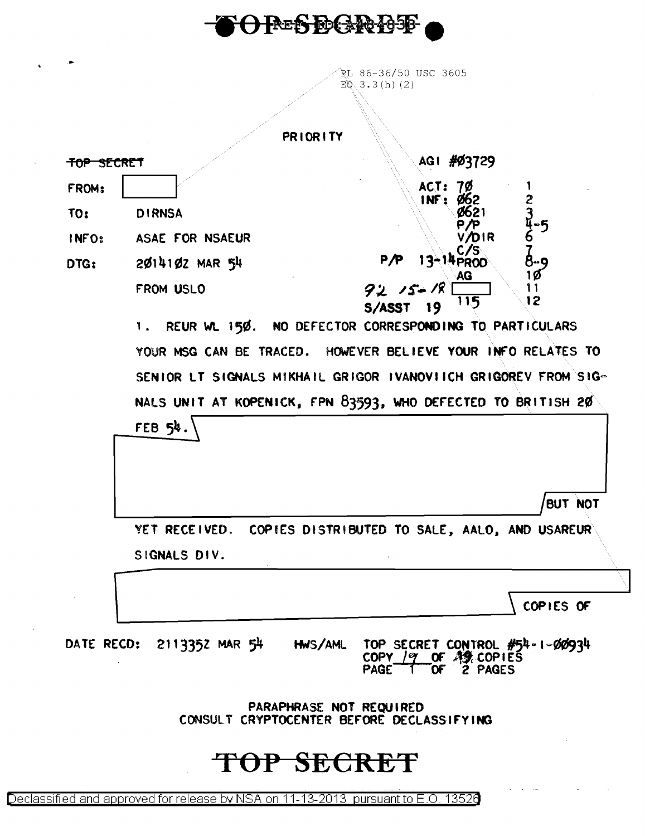

 $\rightarrow$ 

 $\mathbf{c}$ 

RL 86-36/50 USC 3605  $EQ(3.3(h) (2)$ 

|                       |                                                              | <b>PRIORITY</b>                                                                                           |  |
|-----------------------|--------------------------------------------------------------|-----------------------------------------------------------------------------------------------------------|--|
| <del>top secret</del> |                                                              | AGI #Ø3729                                                                                                |  |
| FROM:                 |                                                              | ACT:                                                                                                      |  |
| <b>TO:</b>            | <b>DIRNSA</b>                                                | $\frac{2}{3}$<br>INF:                                                                                     |  |
| INFO:                 | ASAE FOR NSAEUR                                              | <b>DIR</b>                                                                                                |  |
| DTG:                  | $2014102$ MAR $54$                                           | $13 - 14$ PROD<br>P/P<br>8-g                                                                              |  |
|                       | FROM USLO                                                    | AG<br>1Ø<br>11<br>92, 15<br>12<br>115<br>S/ASST                                                           |  |
|                       | REUR WL 150.<br>1.                                           | NO DEFECTOR CORRESPONDING TO PARTICULARS                                                                  |  |
|                       | YOUR MSG CAN BE TRACED. HOWEVER BELIEVE YOUR INFO RELATES TO |                                                                                                           |  |
|                       |                                                              | SENIOR LT SIGNALS MIKHAIL GRIGOR IVANOVIICH GRIGOREV FROM SIG-                                            |  |
|                       | NALS UNIT AT KOPENICK, FPN 83593, WHO DEFECTED TO BRITISH 20 |                                                                                                           |  |
|                       | FEB 54.                                                      |                                                                                                           |  |
|                       |                                                              | BUT NOT                                                                                                   |  |
|                       | YET RECEIVED. COPIES DISTRIBUTED TO SALE, AALO, AND USAREUR  |                                                                                                           |  |
|                       | SIGNALS DIV.                                                 |                                                                                                           |  |
|                       |                                                              | COPIES OF                                                                                                 |  |
|                       | DATE RECD: 2113352 MAR 54                                    | HWS/AML TOP SECRET CONTROL #54-1-00934<br>COPY $19$ OF $49$ COPIES<br>PAGE <sup>-</sup><br>ัOF<br>2 PAGES |  |
|                       |                                                              | PARAPHRASE NOT REQUIRED<br>CONSULT CRYPTOCENTER BEFORE DECLASSIFYING                                      |  |
|                       |                                                              | TOP SECRET                                                                                                |  |

 $\Delta \sim 100$ 

Declassified and approved for release by NSA on 11-13-2013 pursuant to E.O. 13520